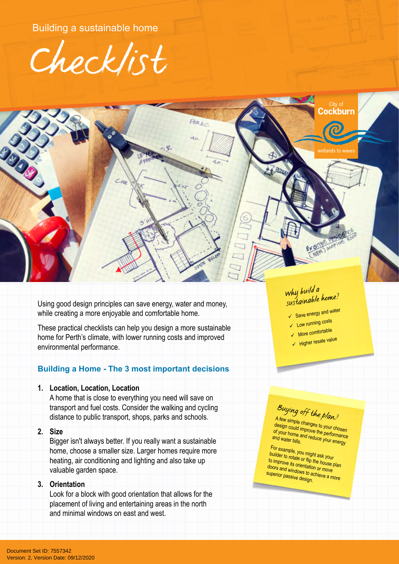Bullulliy a sustainable home Building a sustainable home



Pelmet

 $\mathcal{L}$  $\sim$ 

Ground Floor Plan

 $\sum_{i=1}^n$ 

**6x4** 5. 6x4 5. 6x4 5. 6x4 5. 6x4 5. 6x4 5. 6x4 5. 6x4 5. 6x4 5. 6x4 5. 6x4 5. 6x4 5. 6x4 5. 6x4 5. 6x4 5. 6x4 5. 6x4 5. 6x4 5. 6x4 5. 6x4 5. 6x4 5. 6x4 5. 6x4 5. 6x4 5. 6x4 5. 6x4 5. 6x4 5. 6x4 5. 6x4 5. 6x4 5. 6x4 5. 6x4

 $B$ 

1:100

**SOUT** 

9x5.5

 $\mathbb{R}^n$ Threshold

UF THE ME

OUTDOOR LIVING

Using good design principles can save energy, water and money, while creating a more enjoyable and comfortable home.

9x5.5 A

 $\mathcal{N}$  $\mathcal{A}$ :  $\mathcal{C}$  KS

 $\overline{m}$ UBO

Breakfast Bar

KIT . DINING . DINING . DINING . DINING . DINING . DINING . DINING . DINING . DINING . DINING . DINING . DINING . DINING . DINING . DINING . DINING . DINING . DINING . DINING . DINING . DINING . DINING . DINING . DINING .

These practical checklists can help you design a more sustainable home for Perth's climate, with lower running costs and improved<br>environmental performance. nome for Perth s climate, with lower runnir<br>environmental performance. ronmental performance.<br>———————————————————— - Alimental performance.<br>
Wall insulation to external wall insulation to external walls

# **Building a Home - The 3 most important decisions**

## **1. Location**, Location, Location 1. Location, Location, Location<br>A home that is close to everything

A home that is close to everything you need will save on transport and fuel costs. Consider the walking and cycling distance to public transport, shops, parks and schools.

#### **2. Size**

Bigger isn't always better. If you really want a sustainable home, choose a smaller size. Larger homes require more heating, air conditioning and lighting and also take up valuable garden space.

#### **3. Orientation**

Look for a block with good orientation that allows for the placement of living and entertaining areas in the north and minimal windows on east and west.

### *Why build a sustainable home?*

2<br>S Flush Threshold

Polished Concrete. Timber Decking

ockhurn:

etlands to wave

 $\rightarrow$ over outdoor Living

- Save energy and water
- ↓ Low running costs
- $\sqrt{ }$  More comfortable
- √ Higher resale value

# *Buying off the plan?*

A few simple changes to your chosen design could improve the performance<br>of your home and reduce your energy of your home and reduce your energy<br>and water bills.<br>-

For example, you might ask your builder to rotate or flip the house plan to improve its orientation or move doors and windows to achieve a more superior passive design.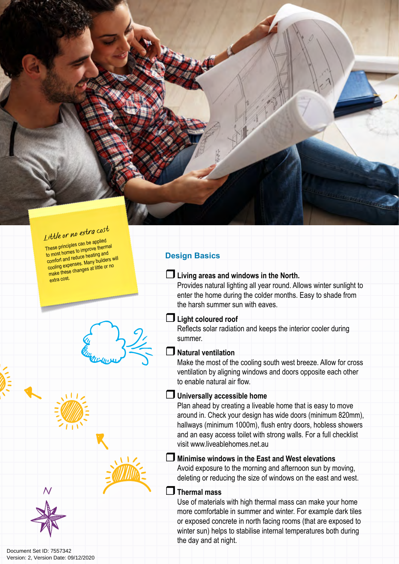

These principles can be applied to most homes to improve thermal comfort and reduce heating and cooling expenses. Many builders will make these changes at little or no extra cost.





### Document Set ID: 7557342<br>Version: 2, Version Date: 09/12/2020

#### **Design Basics**

#### **Living areas and windows in the North.**

Provides natural lighting all year round. Allows winter sunlight to enter the home during the colder months. Easy to shade from the harsh summer sun with eaves.

#### **Light coloured roof**

Reflects solar radiation and keeps the interior cooler during summer.

#### **Natural ventilation**

Make the most of the cooling south west breeze. Allow for cross ventilation by aligning windows and doors opposite each other to enable natural air flow.

#### **Universally accessible home**

Plan ahead by creating a liveable home that is easy to move around in. Check your design has wide doors (minimum 820mm), hallways (minimum 1000m), flush entry doors, hobless showers and an easy access toilet with strong walls. For a full checklist visit www.liveablehomes.net.au

#### **Minimise windows in the East and West elevations**

Avoid exposure to the morning and afternoon sun by moving, deleting or reducing the size of windows on the east and west.

#### **Thermal mass**

Use of materials with high thermal mass can make your home more comfortable in summer and winter. For example dark tiles or exposed concrete in north facing rooms (that are exposed to winter sun) helps to stabilise internal temperatures both during the day and at night.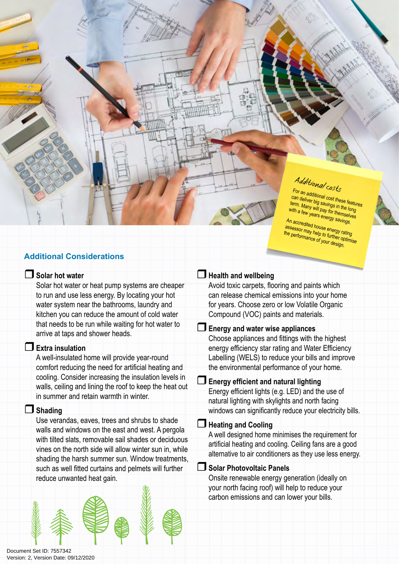# *Additional costs*

For an additional cost these features can deliver big savings in the long term. Many will pay for themselves with a few years energy savings.

An accredited house energy rating **assessor may help to further optimise** the performance of your design.

### **Additional Considerations**

#### **Solar hot water**

Solar hot water or heat pump systems are cheaper to run and use less energy. By locating your hot water system near the bathrooms, laundry and kitchen you can reduce the amount of cold water that needs to be run while waiting for hot water to arrive at taps and shower heads.

#### **Extra insulation**

A well-insulated home will provide year-round comfort reducing the need for artificial heating and cooling. Consider increasing the insulation levels in walls, ceiling and lining the roof to keep the heat out in summer and retain warmth in winter.

#### **Shading**

Use verandas, eaves, trees and shrubs to shade walls and windows on the east and west. A pergola with tilted slats, removable sail shades or deciduous vines on the north side will allow winter sun in, while shading the harsh summer sun. Window treatments, such as well fitted curtains and pelmets will further reduce unwanted heat gain.



#### **Health and wellbeing**

Avoid toxic carpets, flooring and paints which can release chemical emissions into your home for years. Choose zero or low Volatile Organic Compound (VOC) paints and materials.

**Energy and water wise appliances**

Choose appliances and fittings with the highest energy efficiency star rating and Water Efficiency Labelling (WELS) to reduce your bills and improve the environmental performance of your home.

#### **Energy efficient and natural lighting**

Energy efficient lights (e.g. LED) and the use of natural lighting with skylights and north facing windows can significantly reduce your electricity bills.

#### **Heating and Cooling**

A well designed home minimises the requirement for artificial heating and cooling. Ceiling fans are a good alternative to air conditioners as they use less energy.

#### **Solar Photovoltaic Panels**

Onsite renewable energy generation (ideally on your north facing roof) will help to reduce your carbon emissions and can lower your bills.

Document Set ID: 7557342<br>Version: 2, Version Date: 09/12/2020